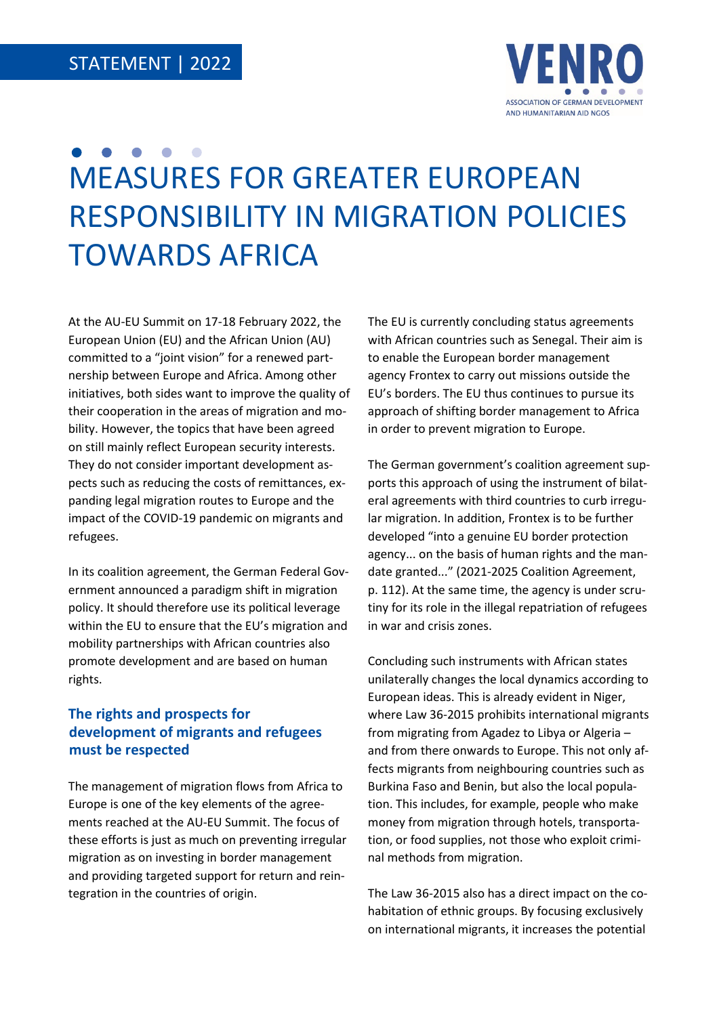

# MEASURES FOR GREATER EUROPEAN RESPONSIBILITY IN MIGRATION POLICIES TOWARDS AFRICA

At the AU-EU Summit on 17-18 February 2022, the European Union (EU) and the African Union (AU) committed to a "joint vision" for a renewed partnership between Europe and Africa. Among other initiatives, both sides want to improve the quality of their cooperation in the areas of migration and mobility. However, the topics that have been agreed on still mainly reflect European security interests. They do not consider important development aspects such as reducing the costs of remittances, expanding legal migration routes to Europe and the impact of the COVID-19 pandemic on migrants and refugees.

In its coalition agreement, the German Federal Government announced a paradigm shift in migration policy. It should therefore use its political leverage within the EU to ensure that the EU's migration and mobility partnerships with African countries also promote development and are based on human rights.

# **The rights and prospects for development of migrants and refugees must be respected**

The management of migration flows from Africa to Europe is one of the key elements of the agreements reached at the AU-EU Summit. The focus of these efforts is just as much on preventing irregular migration as on investing in border management and providing targeted support for return and reintegration in the countries of origin.

The EU is currently concluding status agreements with African countries such as Senegal. Their aim is to enable the European border management agency Frontex to carry out missions outside the EU's borders. The EU thus continues to pursue its approach of shifting border management to Africa in order to prevent migration to Europe.

The German government's coalition agreement supports this approach of using the instrument of bilateral agreements with third countries to curb irregular migration. In addition, Frontex is to be further developed "into a genuine EU border protection agency... on the basis of human rights and the mandate granted..." (2021-2025 Coalition Agreement, p. 112). At the same time, the agency is under scrutiny for its role in the illegal repatriation of refugees in war and crisis zones.

Concluding such instruments with African states unilaterally changes the local dynamics according to European ideas. This is already evident in Niger, where Law 36-2015 prohibits international migrants from migrating from Agadez to Libya or Algeria – and from there onwards to Europe. This not only affects migrants from neighbouring countries such as Burkina Faso and Benin, but also the local population. This includes, for example, people who make money from migration through hotels, transportation, or food supplies, not those who exploit criminal methods from migration.

The Law 36-2015 also has a direct impact on the cohabitation of ethnic groups. By focusing exclusively on international migrants, it increases the potential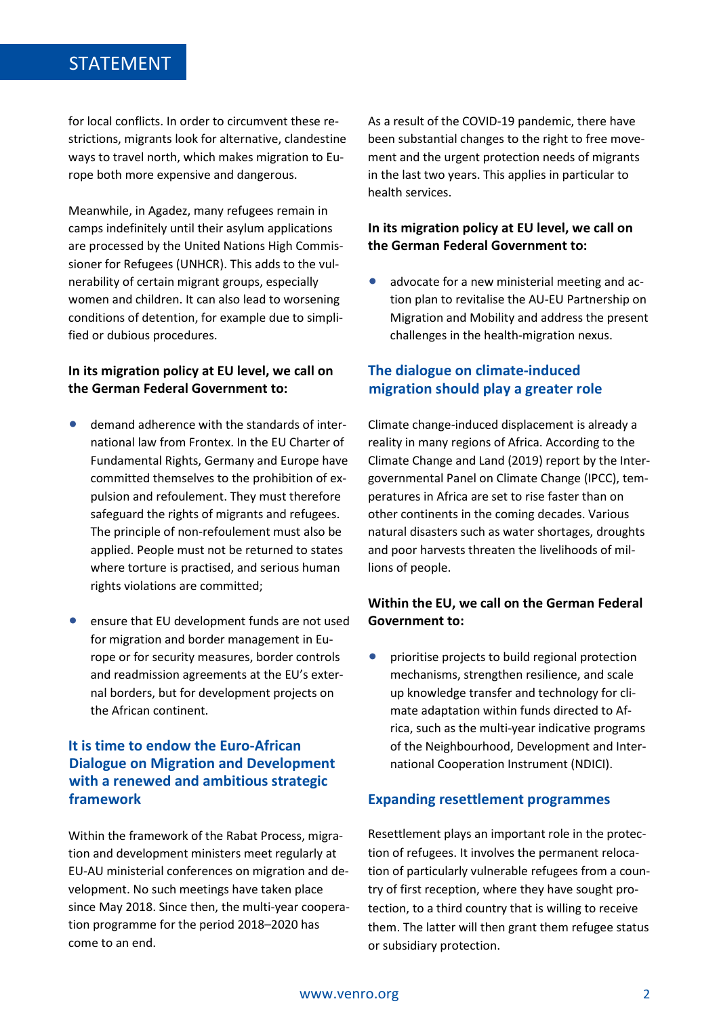# STATEMENT

for local conflicts. In order to circumvent these restrictions, migrants look for alternative, clandestine ways to travel north, which makes migration to Europe both more expensive and dangerous.

Meanwhile, in Agadez, many refugees remain in camps indefinitely until their asylum applications are processed by the United Nations High Commissioner for Refugees (UNHCR). This adds to the vulnerability of certain migrant groups, especially women and children. It can also lead to worsening conditions of detention, for example due to simplified or dubious procedures.

### **In its migration policy at EU level, we call on the German Federal Government to:**

- demand adherence with the standards of international law from Frontex. In the EU Charter of Fundamental Rights, Germany and Europe have committed themselves to the prohibition of expulsion and refoulement. They must therefore safeguard the rights of migrants and refugees. The principle of non-refoulement must also be applied. People must not be returned to states where torture is practised, and serious human rights violations are committed;
- ensure that EU development funds are not used for migration and border management in Europe or for security measures, border controls and readmission agreements at the EU's external borders, but for development projects on the African continent.

# **It is time to endow the Euro-African Dialogue on Migration and Development with a renewed and ambitious strategic framework**

Within the framework of the Rabat Process, migration and development ministers meet regularly at EU-AU ministerial conferences on migration and development. No such meetings have taken place since May 2018. Since then, the multi-year cooperation programme for the period 2018–2020 has come to an end.

As a result of the COVID-19 pandemic, there have been substantial changes to the right to free movement and the urgent protection needs of migrants in the last two years. This applies in particular to health services.

### **In its migration policy at EU level, we call on the German Federal Government to:**

• advocate for a new ministerial meeting and action plan to revitalise the AU-EU Partnership on Migration and Mobility and address the present challenges in the health-migration nexus.

# **The dialogue on climate-induced migration should play a greater role**

Climate change-induced displacement is already a reality in many regions of Africa. According to the Climate Change and Land (2019) report by the Intergovernmental Panel on Climate Change (IPCC), temperatures in Africa are set to rise faster than on other continents in the coming decades. Various natural disasters such as water shortages, droughts and poor harvests threaten the livelihoods of millions of people.

### **Within the EU, we call on the German Federal Government to:**

• prioritise projects to build regional protection mechanisms, strengthen resilience, and scale up knowledge transfer and technology for climate adaptation within funds directed to Africa, such as the multi-year indicative programs of the Neighbourhood, Development and International Cooperation Instrument (NDICI).

### **Expanding resettlement programmes**

Resettlement plays an important role in the protection of refugees. It involves the permanent relocation of particularly vulnerable refugees from a country of first reception, where they have sought protection, to a third country that is willing to receive them. The latter will then grant them refugee status or subsidiary protection.